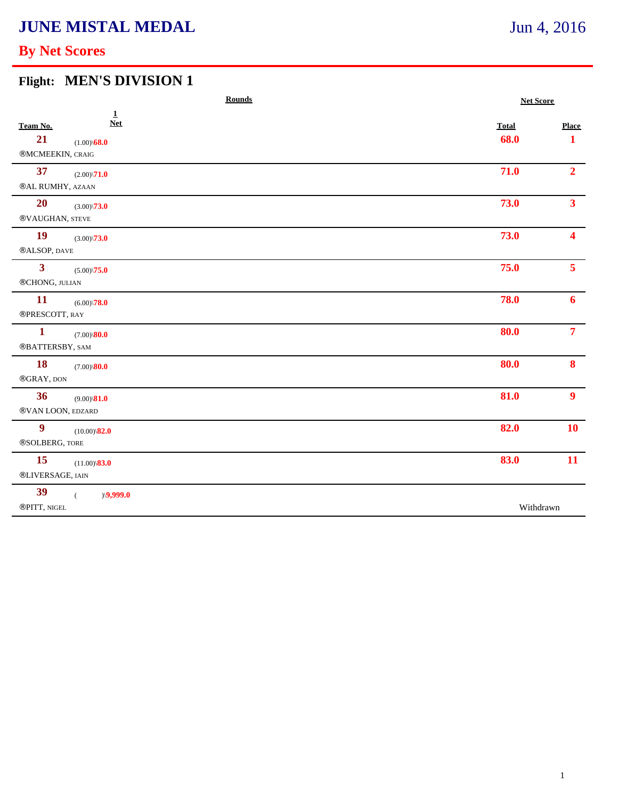# **JUNE MISTAL MEDAL**

## **By Net Scores**

### **Flight: MEN'S DIVISION 1**

| <b>Rounds</b>                                                                             | <b>Net Score</b>     |                              |
|-------------------------------------------------------------------------------------------|----------------------|------------------------------|
| $\mathbf{1}$<br><b>Net</b><br>Team No.<br>21<br>$(1.00)\$ <b>68.0</b><br>®MCMEEKIN, CRAIG | <b>Total</b><br>68.0 | <b>Place</b><br>$\mathbf{1}$ |
| 37<br>$(2.00)\sqrt{71.0}$<br>®AL RUMHY, AZAAN                                             | 71.0                 | $2^{\circ}$                  |
| <b>20</b><br>$(3.00)\sqrt{73.0}$<br>®VAUGHAN, STEVE                                       | 73.0                 | 3 <sup>1</sup>               |
| <b>19</b><br>$(3.00)\sqrt{73.0}$<br>®ALSOP, DAVE                                          | 73.0                 | $\overline{\mathbf{4}}$      |
| $\mathbf{3}$<br>$(5.00)\sqrt{75.0}$<br>®CHONG, JULIAN                                     | 75.0                 | 5 <sup>1</sup>               |
| <b>11</b><br>$(6.00)\sqrt{78.0}$<br>®PRESCOTT, RAY                                        | 78.0                 | 6                            |
| $\mathbf{1}$<br>$(7.00)\$ <b>80.0</b><br>®BATTERSBY, SAM                                  | 80.0                 | 7 <sup>7</sup>               |
| <b>18</b><br>$(7.00)\$ <b>80.0</b><br>®GRAY, DON                                          | 80.0                 | 8                            |
| 36<br>$(9.00)\$ 81.0<br>®VAN LOON, EDZARD                                                 | 81.0                 | 9 <sup>°</sup>               |
| $\boldsymbol{9}$<br>$(10.00)\$ <sup>82.0</sup><br>®SOLBERG, TORE                          | 82.0                 | 10                           |
| 15<br>$(11.00)\$ <sup>83.0</sup><br>®LIVERSAGE, IAIN                                      | 83.0                 | 11                           |
| 39<br>)(9,999.0)<br>$\left($<br>®PITT, NIGEL                                              | Withdrawn            |                              |

## Jun 4, 2016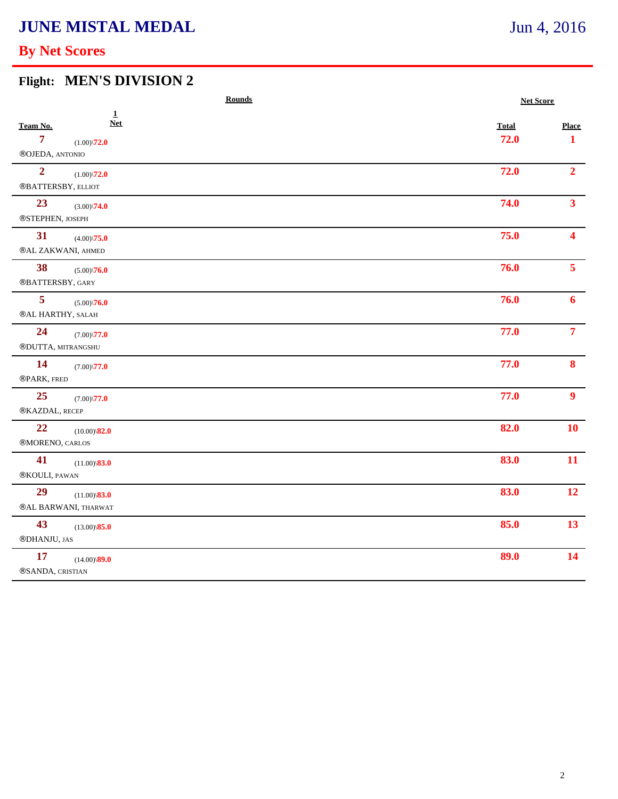# **JUNE MISTAL MEDAL**

## **By Net Scores**

### **Flight: MEN'S DIVISION 2**

|                                                          | <b>Rounds</b>                                        |                      | <b>Net Score</b>             |  |
|----------------------------------------------------------|------------------------------------------------------|----------------------|------------------------------|--|
| Team No.<br>$\overline{7}$<br>$\circledR$ OJEDA, ANTONIO | $\mathbf{1}$<br><b>Net</b><br>$(1.00)\sqrt{72.0}$    | <b>Total</b><br>72.0 | <b>Place</b><br>$\mathbf{1}$ |  |
| $\overline{2}$                                           | $(1.00)\sqrt{72.0}$<br>$\circledR$ BATTERSBY, ELLIOT | 72.0                 | 2 <sup>1</sup>               |  |
| 23<br>®STEPHEN, JOSEPH                                   | $(3.00)\sqrt{74.0}$                                  | 74.0                 | 3 <sup>1</sup>               |  |
| 31                                                       | $(4.00)\sqrt{75.0}$<br>®AL ZAKWANI, AHMED            | 75.0                 | $\blacktriangle$             |  |
| 38<br>®BATTERSBY, GARY                                   | $(5.00)\sqrt{76.0}$                                  | 76.0                 | 5 <sup>1</sup>               |  |
| $\overline{\mathbf{5}}$                                  | $(5.00)\sqrt{76.0}$<br><b>®AL HARTHY, SALAH</b>      | 76.0                 | 6                            |  |
| 24                                                       | $(7.00)\sqrt{77.0}$<br>®DUTTA, MITRANGSHU            | 77.0                 | $\overline{7}$               |  |
| <b>14</b><br>®PARK, FRED                                 | $(7.00)\sqrt{77.0}$                                  | 77.0                 | 8                            |  |
| 25<br>®KAZDAL, RECEP                                     | $(7.00)\sqrt{77.0}$                                  | 77.0                 | 9 <sup>°</sup>               |  |
| 22<br>®MORENO, CARLOS                                    | $(10.00)\$ <sup>82.0</sup>                           | 82.0                 | 10                           |  |
| 41<br>®KOULI, PAWAN                                      | $(11.00)\$ <sup>83.0</sup>                           | 83.0                 | 11                           |  |
| 29                                                       | $(11.00)\$ <sup>83.0</sup><br>®AL BARWANI, THARWAT   | 83.0                 | 12                           |  |
| 43<br>®DHANJU, JAS                                       | $(13.00)\$ <sup>85.0</sup>                           | 85.0                 | 13                           |  |
| <b>17</b><br>®SANDA, CRISTIAN                            | $(14.00)\$ <sup>89.0</sup>                           | 89.0                 | 14                           |  |